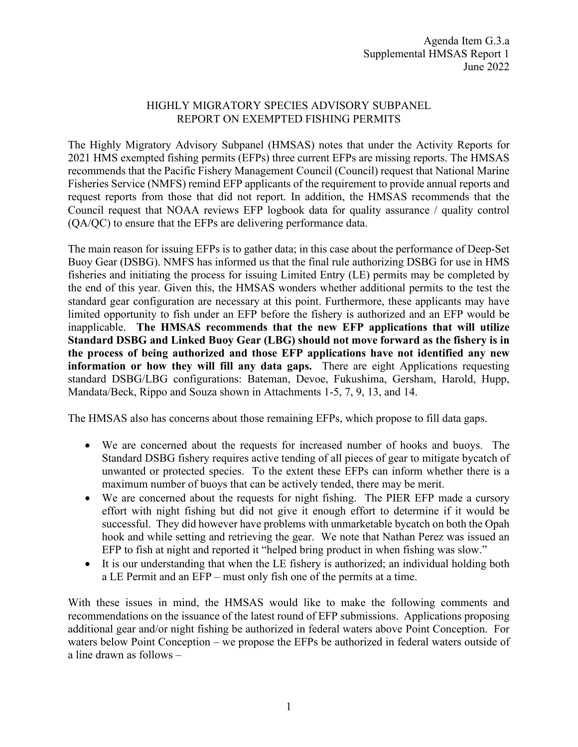## HIGHLY MIGRATORY SPECIES ADVISORY SUBPANEL REPORT ON EXEMPTED FISHING PERMITS

The Highly Migratory Advisory Subpanel (HMSAS) notes that under the Activity Reports for 2021 HMS exempted fishing permits (EFPs) three current EFPs are missing reports. The HMSAS recommends that the Pacific Fishery Management Council (Council) request that National Marine Fisheries Service (NMFS) remind EFP applicants of the requirement to provide annual reports and request reports from those that did not report. In addition, the HMSAS recommends that the Council request that NOAA reviews EFP logbook data for quality assurance / quality control (QA/QC) to ensure that the EFPs are delivering performance data.

The main reason for issuing EFPs is to gather data; in this case about the performance of Deep-Set Buoy Gear (DSBG). NMFS has informed us that the final rule authorizing DSBG for use in HMS fisheries and initiating the process for issuing Limited Entry (LE) permits may be completed by the end of this year. Given this, the HMSAS wonders whether additional permits to the test the standard gear configuration are necessary at this point. Furthermore, these applicants may have limited opportunity to fish under an EFP before the fishery is authorized and an EFP would be inapplicable. **The HMSAS recommends that the new EFP applications that will utilize Standard DSBG and Linked Buoy Gear (LBG) should not move forward as the fishery is in the process of being authorized and those EFP applications have not identified any new information or how they will fill any data gaps.** There are eight Applications requesting standard DSBG/LBG configurations: Bateman, Devoe, Fukushima, Gersham, Harold, Hupp, Mandata/Beck, Rippo and Souza shown in Attachments 1-5, 7, 9, 13, and 14.

The HMSAS also has concerns about those remaining EFPs, which propose to fill data gaps.

- We are concerned about the requests for increased number of hooks and buoys. The Standard DSBG fishery requires active tending of all pieces of gear to mitigate bycatch of unwanted or protected species. To the extent these EFPs can inform whether there is a maximum number of buoys that can be actively tended, there may be merit.
- We are concerned about the requests for night fishing. The PIER EFP made a cursory effort with night fishing but did not give it enough effort to determine if it would be successful. They did however have problems with unmarketable bycatch on both the Opah hook and while setting and retrieving the gear. We note that Nathan Perez was issued an EFP to fish at night and reported it "helped bring product in when fishing was slow."
- It is our understanding that when the LE fishery is authorized; an individual holding both a LE Permit and an EFP – must only fish one of the permits at a time.

With these issues in mind, the HMSAS would like to make the following comments and recommendations on the issuance of the latest round of EFP submissions. Applications proposing additional gear and/or night fishing be authorized in federal waters above Point Conception. For waters below Point Conception – we propose the EFPs be authorized in federal waters outside of a line drawn as follows –